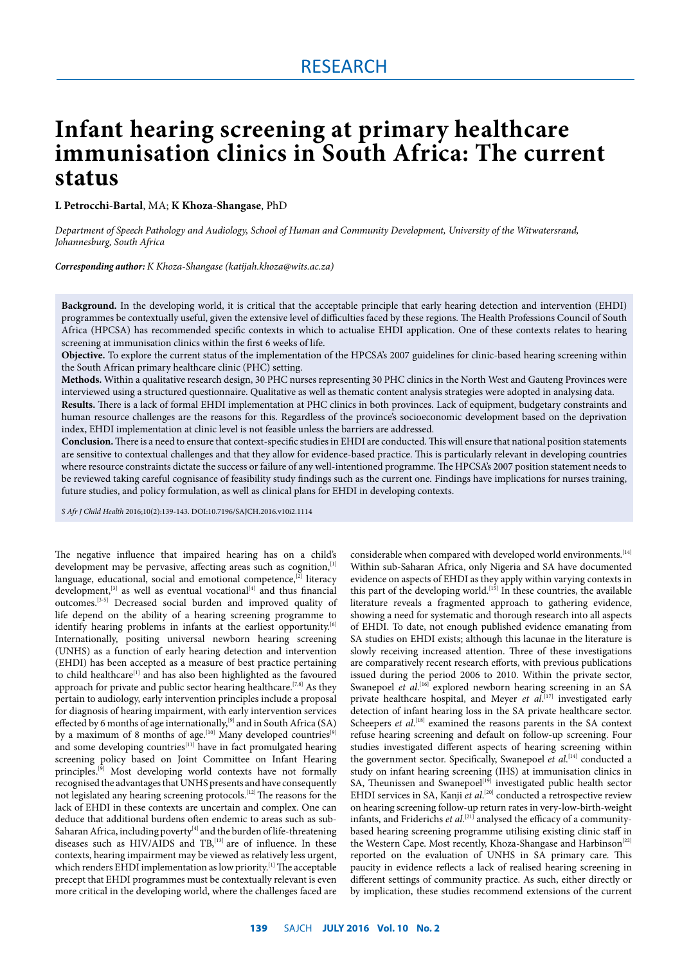# **Infant hearing screening at primary healthcare immunisation clinics in South Africa: The current status**

**L Petrocchi-Bartal**, MA; **K Khoza-Shangase**, PhD

*Department of Speech Pathology and Audiology, School of Human and Community Development, University of the Witwatersrand, Johannesburg, South Africa*

*Corresponding author: K Khoza-Shangase (katijah.khoza@wits.ac.za)*

**Background.** In the developing world, it is critical that the acceptable principle that early hearing detection and intervention (EHDI) programmes be contextually useful, given the extensive level of difficulties faced by these regions. The Health Professions Council of South Africa (HPCSA) has recommended specific contexts in which to actualise EHDI application. One of these contexts relates to hearing screening at immunisation clinics within the first 6 weeks of life.

**Objective.** To explore the current status of the implementation of the HPCSA's 2007 guidelines for clinic-based hearing screening within the South African primary healthcare clinic (PHC) setting.

**Methods.** Within a qualitative research design, 30 PHC nurses representing 30 PHC clinics in the North West and Gauteng Provinces were interviewed using a structured questionnaire. Qualitative as well as thematic content analysis strategies were adopted in analysing data.

**Results.** There is a lack of formal EHDI implementation at PHC clinics in both provinces. Lack of equipment, budgetary constraints and human resource challenges are the reasons for this. Regardless of the province's socioeconomic development based on the deprivation index, EHDI implementation at clinic level is not feasible unless the barriers are addressed.

**Conclusion.** There is a need to ensure that context-specific studies in EHDI are conducted. This will ensure that national position statements are sensitive to contextual challenges and that they allow for evidence-based practice. This is particularly relevant in developing countries where resource constraints dictate the success or failure of any well-intentioned programme. The HPCSA's 2007 position statement needs to be reviewed taking careful cognisance of feasibility study findings such as the current one. Findings have implications for nurses training, future studies, and policy formulation, as well as clinical plans for EHDI in developing contexts.

*S Afr J Child Health* 2016;10(2):139-143. DOI:10.7196/SAJCH.2016.v10i2.1114

The negative influence that impaired hearing has on a child's development may be pervasive, affecting areas such as cognition, [1] language, educational, social and emotional competence,<sup>[2]</sup> literacy development,<sup>[3]</sup> as well as eventual vocational<sup>[4]</sup> and thus financial outcomes.<sup>[3-5]</sup> Decreased social burden and improved quality of life depend on the ability of a hearing screening programme to identify hearing problems in infants at the earliest opportunity.<sup>[6]</sup> Internationally, positing universal newborn hearing screening (UNHS) as a function of early hearing detection and intervention (EHDI) has been accepted as a measure of best practice pertaining to child healthcare<sup>[1]</sup> and has also been highlighted as the favoured approach for private and public sector hearing healthcare.<sup>[7,8]</sup> As they pertain to audiology, early intervention principles include a proposal for diagnosis of hearing impairment, with early intervention services effected by 6 months of age internationally,<sup>[9]</sup> and in South Africa (SA) by a maximum of 8 months of age.<sup>[10]</sup> Many developed countries<sup>[9]</sup> and some developing countries<sup>[11]</sup> have in fact promulgated hearing screening policy based on Joint Committee on Infant Hearing principles.[9] Most developing world contexts have not formally recognised the advantages that UNHS presents and have consequently not legislated any hearing screening protocols.[12] The reasons for the lack of EHDI in these contexts are uncertain and complex. One can deduce that additional burdens often endemic to areas such as sub-Saharan Africa, including poverty $[4]$  and the burden of life-threatening diseases such as HIV/AIDS and TB,<sup>[13]</sup> are of influence. In these contexts, hearing impairment may be viewed as relatively less urgent, which renders EHDI implementation as low priority.<sup>[1]</sup> The acceptable precept that EHDI programmes must be contextually relevant is even more critical in the developing world, where the challenges faced are

considerable when compared with developed world environments.<sup>[14]</sup> Within sub-Saharan Africa, only Nigeria and SA have documented evidence on aspects of EHDI as they apply within varying contexts in this part of the developing world.<sup>[15]</sup> In these countries, the available literature reveals a fragmented approach to gathering evidence, showing a need for systematic and thorough research into all aspects of EHDI. To date, not enough published evidence emanating from SA studies on EHDI exists; although this lacunae in the literature is slowly receiving increased attention. Three of these investigations are comparatively recent research efforts, with previous publications issued during the period 2006 to 2010. Within the private sector, Swanepoel et al.<sup>[16]</sup> explored newborn hearing screening in an SA private healthcare hospital, and Meyer *et al*.<sup>[17]</sup> investigated early detection of infant hearing loss in the SA private healthcare sector. Scheepers *et al.*<sup>[18]</sup> examined the reasons parents in the SA context refuse hearing screening and default on follow-up screening. Four studies investigated different aspects of hearing screening within the government sector. Specifically, Swanepoel *et al*. [14] conducted a study on infant hearing screening (IHS) at immunisation clinics in SA, Theunissen and Swanepoel<sup>[19]</sup> investigated public health sector EHDI services in SA, Kanji *et al*.<sup>[20]</sup> conducted a retrospective review on hearing screening follow-up return rates in very-low-birth-weight infants, and Friderichs *et al*. [21] analysed the efficacy of a communitybased hearing screening programme utilising existing clinic staff in the Western Cape. Most recently, Khoza-Shangase and Harbinson<sup>[22]</sup> reported on the evaluation of UNHS in SA primary care. This paucity in evidence reflects a lack of realised hearing screening in different settings of community practice. As such, either directly or by implication, these studies recommend extensions of the current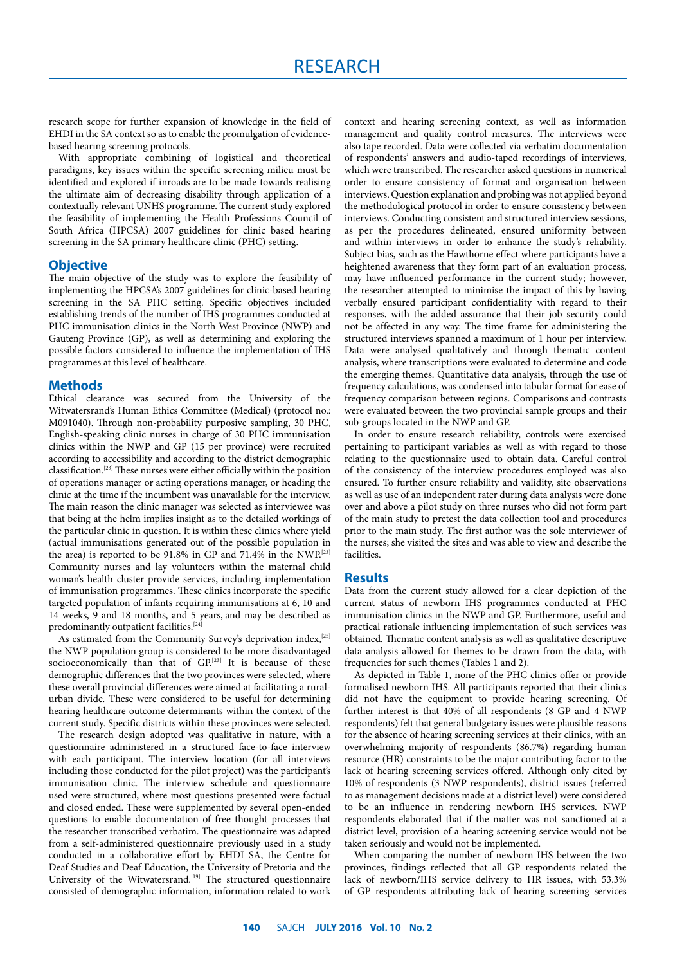research scope for further expansion of knowledge in the field of EHDI in the SA context so as to enable the promulgation of evidencebased hearing screening protocols.

With appropriate combining of logistical and theoretical paradigms, key issues within the specific screening milieu must be identified and explored if inroads are to be made towards realising the ultimate aim of decreasing disability through application of a contextually relevant UNHS programme. The current study explored the feasibility of implementing the Health Professions Council of South Africa (HPCSA) 2007 guidelines for clinic based hearing screening in the SA primary healthcare clinic (PHC) setting.

# **Objective**

The main objective of the study was to explore the feasibility of implementing the HPCSA's 2007 guidelines for clinic-based hearing screening in the SA PHC setting. Specific objectives included establishing trends of the number of IHS programmes conducted at PHC immunisation clinics in the North West Province (NWP) and Gauteng Province (GP), as well as determining and exploring the possible factors considered to influence the implementation of IHS programmes at this level of healthcare.

# **Methods**

Ethical clearance was secured from the University of the Witwatersrand's Human Ethics Committee (Medical) (protocol no.: M091040). Through non-probability purposive sampling, 30 PHC, English-speaking clinic nurses in charge of 30 PHC immunisation clinics within the NWP and GP (15 per province) were recruited according to accessibility and according to the district demographic classification.[23] These nurses were either officially within the position of operations manager or acting operations manager, or heading the clinic at the time if the incumbent was unavailable for the interview. The main reason the clinic manager was selected as interviewee was that being at the helm implies insight as to the detailed workings of the particular clinic in question. It is within these clinics where yield (actual immunisations generated out of the possible population in the area) is reported to be 91.8% in GP and 71.4% in the NWP.<sup>[23]</sup> Community nurses and lay volunteers within the maternal child woman's health cluster provide services, including implementation of immunisation programmes. These clinics incorporate the specific targeted population of infants requiring immunisations at 6, 10 and 14 weeks, 9 and 18 months, and 5 years, and may be described as predominantly outpatient facilities.<sup>[24]</sup>

As estimated from the Community Survey's deprivation index, [25] the NWP population group is considered to be more disadvantaged socioeconomically than that of GP.<sup>[23]</sup> It is because of these demographic differences that the two provinces were selected, where these overall provincial differences were aimed at facilitating a ruralurban divide. These were considered to be useful for determining hearing healthcare outcome determinants within the context of the current study. Specific districts within these provinces were selected.

The research design adopted was qualitative in nature, with a questionnaire administered in a structured face-to-face interview with each participant. The interview location (for all interviews including those conducted for the pilot project) was the participant's immunisation clinic. The interview schedule and questionnaire used were structured, where most questions presented were factual and closed ended. These were supplemented by several open-ended questions to enable documentation of free thought processes that the researcher transcribed verbatim. The questionnaire was adapted from a self-administered questionnaire previously used in a study conducted in a collaborative effort by EHDI SA, the Centre for Deaf Studies and Deaf Education, the University of Pretoria and the University of the Witwatersrand.<sup>[19]</sup> The structured questionnaire consisted of demographic information, information related to work context and hearing screening context, as well as information management and quality control measures. The interviews were also tape recorded. Data were collected via verbatim documentation of respondents' answers and audio-taped recordings of interviews, which were transcribed. The researcher asked questions in numerical order to ensure consistency of format and organisation between interviews. Question explanation and probing was not applied beyond the methodological protocol in order to ensure consistency between interviews. Conducting consistent and structured interview sessions, as per the procedures delineated, ensured uniformity between and within interviews in order to enhance the study's reliability. Subject bias, such as the Hawthorne effect where participants have a heightened awareness that they form part of an evaluation process, may have influenced performance in the current study; however, the researcher attempted to minimise the impact of this by having verbally ensured participant confidentiality with regard to their responses, with the added assurance that their job security could not be affected in any way. The time frame for administering the structured interviews spanned a maximum of 1 hour per interview. Data were analysed qualitatively and through thematic content analysis, where transcriptions were evaluated to determine and code the emerging themes. Quantitative data analysis, through the use of frequency calculations, was condensed into tabular format for ease of frequency comparison between regions. Comparisons and contrasts were evaluated between the two provincial sample groups and their sub-groups located in the NWP and GP.

In order to ensure research reliability, controls were exercised pertaining to participant variables as well as with regard to those relating to the questionnaire used to obtain data. Careful control of the consistency of the interview procedures employed was also ensured. To further ensure reliability and validity, site observations as well as use of an independent rater during data analysis were done over and above a pilot study on three nurses who did not form part of the main study to pretest the data collection tool and procedures prior to the main study. The first author was the sole interviewer of the nurses; she visited the sites and was able to view and describe the facilities.

# **Results**

Data from the current study allowed for a clear depiction of the current status of newborn IHS programmes conducted at PHC immunisation clinics in the NWP and GP. Furthermore, useful and practical rationale influencing implementation of such services was obtained. Thematic content analysis as well as qualitative descriptive data analysis allowed for themes to be drawn from the data, with frequencies for such themes (Tables 1 and 2).

As depicted in Table 1, none of the PHC clinics offer or provide formalised newborn IHS. All participants reported that their clinics did not have the equipment to provide hearing screening. Of further interest is that 40% of all respondents (8 GP and 4 NWP respondents) felt that general budgetary issues were plausible reasons for the absence of hearing screening services at their clinics, with an overwhelming majority of respondents (86.7%) regarding human resource (HR) constraints to be the major contributing factor to the lack of hearing screening services offered. Although only cited by 10% of respondents (3 NWP respondents), district issues (referred to as management decisions made at a district level) were considered to be an influence in rendering newborn IHS services. NWP respondents elaborated that if the matter was not sanctioned at a district level, provision of a hearing screening service would not be taken seriously and would not be implemented.

When comparing the number of newborn IHS between the two provinces, findings reflected that all GP respondents related the lack of newborn/IHS service delivery to HR issues, with 53.3% of GP respondents attributing lack of hearing screening services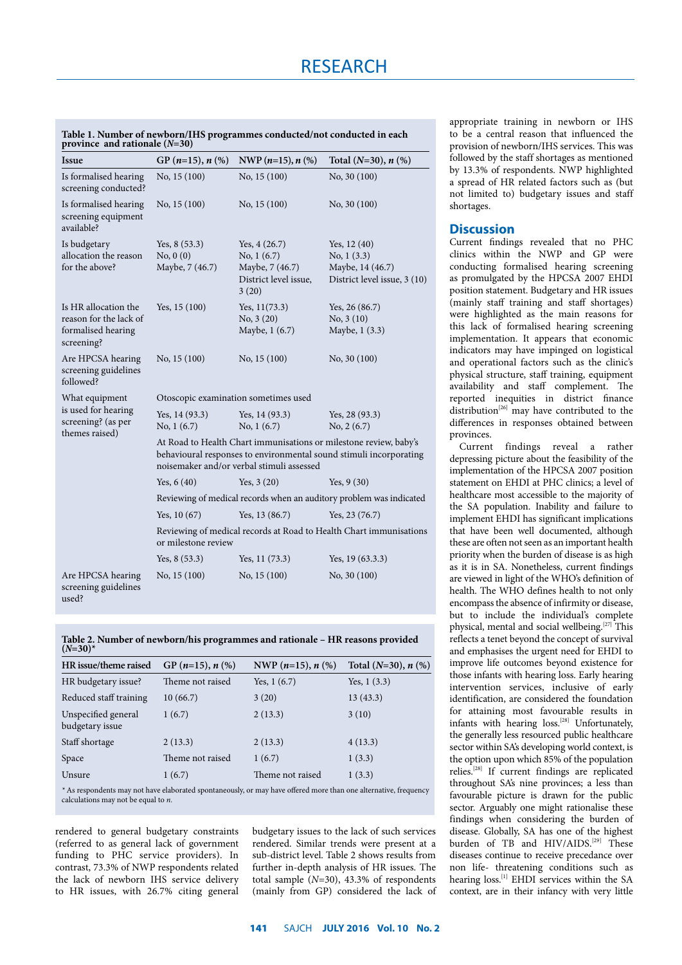#### **Table 1. Number of newborn/IHS programmes conducted/not conducted in each province and rationale (***N***=30)**

| <b>Issue</b>                                                                       | GP $(n=15)$ , $n$ $(\%)$                                                                                                                                                             | NWP $(n=15)$ , $n$ $(\%)$                                                           | Total ( $N=30$ ), $n$ (%)                                                       |  |
|------------------------------------------------------------------------------------|--------------------------------------------------------------------------------------------------------------------------------------------------------------------------------------|-------------------------------------------------------------------------------------|---------------------------------------------------------------------------------|--|
| Is formalised hearing<br>screening conducted?                                      | No, 15 (100)                                                                                                                                                                         | No, 15 (100)                                                                        | No, 30 (100)                                                                    |  |
| Is formalised hearing<br>screening equipment<br>available?                         | No, 15 (100)                                                                                                                                                                         | No, 15 (100)                                                                        | No, 30 (100)                                                                    |  |
| Is budgetary<br>allocation the reason<br>for the above?                            | Yes, $8(53.3)$<br>No, 0(0)<br>Maybe, 7 (46.7)                                                                                                                                        | Yes, $4(26.7)$<br>No, $1(6.7)$<br>Maybe, 7 (46.7)<br>District level issue,<br>3(20) | Yes, $12(40)$<br>No, 1(3.3)<br>Maybe, 14 (46.7)<br>District level issue, 3 (10) |  |
| Is HR allocation the<br>reason for the lack of<br>formalised hearing<br>screening? | Yes, $15(100)$                                                                                                                                                                       | Yes, $11(73.3)$<br>No, 3(20)<br>Maybe, 1 (6.7)                                      | Yes, $26(86.7)$<br>No, 3(10)<br>Maybe, 1 (3.3)                                  |  |
| Are HPCSA hearing<br>screening guidelines<br>followed?                             | No, 15 (100)                                                                                                                                                                         | No, 15 (100)                                                                        | No, 30 (100)                                                                    |  |
| What equipment<br>is used for hearing<br>screening? (as per<br>themes raised)      | Otoscopic examination sometimes used                                                                                                                                                 |                                                                                     |                                                                                 |  |
|                                                                                    | Yes, $14(93.3)$<br>No, $1(6.7)$                                                                                                                                                      | Yes, $14(93.3)$<br>No, $1(6.7)$                                                     | Yes, $28(93.3)$<br>No, 2(6.7)                                                   |  |
|                                                                                    | At Road to Health Chart immunisations or milestone review, baby's<br>behavioural responses to environmental sound stimuli incorporating<br>noisemaker and/or verbal stimuli assessed |                                                                                     |                                                                                 |  |
|                                                                                    | Yes, $6(40)$                                                                                                                                                                         | Yes, $3(20)$                                                                        | Yes, $9(30)$                                                                    |  |
|                                                                                    | Reviewing of medical records when an auditory problem was indicated                                                                                                                  |                                                                                     |                                                                                 |  |
|                                                                                    | Yes, 10 (67)                                                                                                                                                                         | Yes, 13 (86.7)                                                                      | Yes, $23(76.7)$                                                                 |  |
|                                                                                    | Reviewing of medical records at Road to Health Chart immunisations<br>or milestone review                                                                                            |                                                                                     |                                                                                 |  |
|                                                                                    | Yes, $8(53.3)$                                                                                                                                                                       | Yes, $11(73.3)$                                                                     | Yes, $19(63.3.3)$                                                               |  |
| Are HPCSA hearing<br>screening guidelines<br>used?                                 | No, 15 (100)                                                                                                                                                                         | No, 15 (100)                                                                        | No, 30 (100)                                                                    |  |

**Table 2. Number of newborn/his programmes and rationale – HR reasons provided**   $(N=30)^*$ 

| HR issue/theme raised                                                                                                                                                                                                           | GP $(n=15)$ , $n$ $(\%)$ | NWP $(n=15)$ , $n$ $(\%)$ | Total $(N=30)$ , n $(\%)$ |  |
|---------------------------------------------------------------------------------------------------------------------------------------------------------------------------------------------------------------------------------|--------------------------|---------------------------|---------------------------|--|
| HR budgetary issue?                                                                                                                                                                                                             | Theme not raised         | Yes, $1(6.7)$             | Yes, $1(3.3)$             |  |
| Reduced staff training                                                                                                                                                                                                          | 10(66.7)                 | 3(20)                     | 13(43.3)                  |  |
| Unspecified general<br>budgetary issue                                                                                                                                                                                          | 1(6.7)                   | 2(13.3)                   | 3(10)                     |  |
| Staff shortage                                                                                                                                                                                                                  | 2(13.3)                  | 2(13.3)                   | 4(13.3)                   |  |
| Space                                                                                                                                                                                                                           | Theme not raised         | 1(6.7)                    | 1(3.3)                    |  |
| Unsure                                                                                                                                                                                                                          | 1(6.7)                   | Theme not raised          | 1(3.3)                    |  |
| $\star$ A respectively. Hence, a figure of the sense is sense that the sense of the figure of the sense of the sense of the sense of the sense of the sense of the sense of the sense of the sense of the sense of the sense of |                          |                           |                           |  |

ve elaborated spontaneously, or may have offered more than one alternative, frequency calculations may not be equal to *n.*

rendered to general budgetary constraints (referred to as general lack of government funding to PHC service providers). In contrast, 73.3% of NWP respondents related the lack of newborn IHS service delivery to HR issues, with 26.7% citing general

budgetary issues to the lack of such services rendered. Similar trends were present at a sub-district level. Table 2 shows results from further in-depth analysis of HR issues. The total sample (*N*=30), 43.3% of respondents (mainly from GP) considered the lack of appropriate training in newborn or IHS to be a central reason that influenced the provision of newborn/IHS services. This was followed by the staff shortages as mentioned by 13.3% of respondents. NWP highlighted a spread of HR related factors such as (but not limited to) budgetary issues and staff shortages.

# **Discussion**

Current findings revealed that no PHC clinics within the NWP and GP were conducting formalised hearing screening as promulgated by the HPCSA 2007 EHDI position statement. Budgetary and HR issues (mainly staff training and staff shortages) were highlighted as the main reasons for this lack of formalised hearing screening implementation. It appears that economic indicators may have impinged on logistical and operational factors such as the clinic's physical structure, staff training, equipment availability and staff complement. The reported inequities in district finance distribution<sup>[26]</sup> may have contributed to the differences in responses obtained between provinces.

Current findings reveal a rather depressing picture about the feasibility of the implementation of the HPCSA 2007 position statement on EHDI at PHC clinics; a level of healthcare most accessible to the majority of the SA population. Inability and failure to implement EHDI has significant implications that have been well documented, although these are often not seen as an important health priority when the burden of disease is as high as it is in SA. Nonetheless, current findings are viewed in light of the WHO's definition of health. The WHO defines health to not only encompass the absence of infirmity or disease, but to include the individual's complete physical, mental and social wellbeing.[27] This reflects a tenet beyond the concept of survival and emphasises the urgent need for EHDI to improve life outcomes beyond existence for those infants with hearing loss. Early hearing intervention services, inclusive of early identification, are considered the foundation for attaining most favourable results in infants with hearing loss.<sup>[28]</sup> Unfortunately, the generally less resourced public healthcare sector within SA's developing world context, is the option upon which 85% of the population relies.[28] If current findings are replicated throughout SA's nine provinces; a less than favourable picture is drawn for the public sector. Arguably one might rationalise these findings when considering the burden of disease. Globally, SA has one of the highest burden of TB and HIV/AIDS.<sup>[29]</sup> These diseases continue to receive precedance over non life- threatening conditions such as hearing loss.<sup>[1]</sup> EHDI services within the SA context, are in their infancy with very little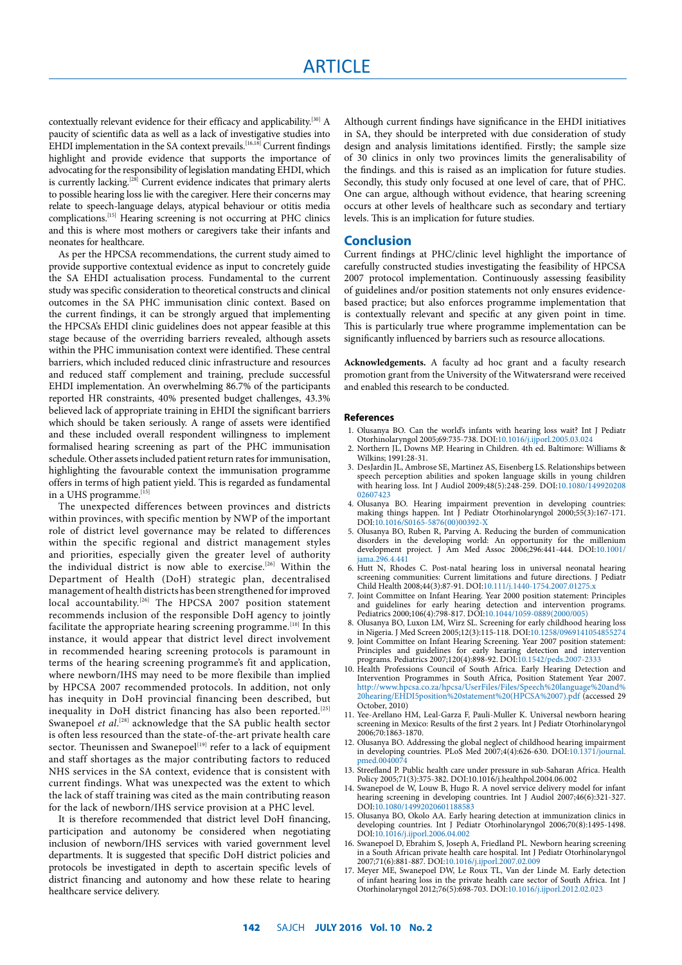contextually relevant evidence for their efficacy and applicability.[30] A paucity of scientific data as well as a lack of investigative studies into EHDI implementation in the SA context prevails.<sup>[16,18]</sup> Current findings highlight and provide evidence that supports the importance of advocating for the responsibility of legislation mandating EHDI, which is currently lacking.<sup>[28]</sup> Current evidence indicates that primary alerts to possible hearing loss lie with the caregiver. Here their concerns may relate to speech-language delays, atypical behaviour or otitis media complications.<sup>[15]</sup> Hearing screening is not occurring at PHC clinics and this is where most mothers or caregivers take their infants and neonates for healthcare.

As per the HPCSA recommendations, the current study aimed to provide supportive contextual evidence as input to concretely guide the SA EHDI actualisation process. Fundamental to the current study was specific consideration to theoretical constructs and clinical outcomes in the SA PHC immunisation clinic context. Based on the current findings, it can be strongly argued that implementing the HPCSA's EHDI clinic guidelines does not appear feasible at this stage because of the overriding barriers revealed, although assets within the PHC immunisation context were identified. These central barriers, which included reduced clinic infrastructure and resources and reduced staff complement and training, preclude successful EHDI implementation. An overwhelming 86.7% of the participants reported HR constraints, 40% presented budget challenges, 43.3% believed lack of appropriate training in EHDI the significant barriers which should be taken seriously. A range of assets were identified and these included overall respondent willingness to implement formalised hearing screening as part of the PHC immunisation schedule. Other assets included patient return rates for immunisation, highlighting the favourable context the immunisation programme offers in terms of high patient yield. This is regarded as fundamental in a UHS programme.<sup>[15]</sup>

The unexpected differences between provinces and districts within provinces, with specific mention by NWP of the important role of district level governance may be related to differences within the specific regional and district management styles and priorities, especially given the greater level of authority the individual district is now able to exercise.<sup>[26]</sup> Within the Department of Health (DoH) strategic plan, decentralised management of health districts has been strengthened for improved local accountability.<sup>[26]</sup> The HPCSA 2007 position statement recommends inclusion of the responsible DoH agency to jointly facilitate the appropriate hearing screening programme.[10] In this instance, it would appear that district level direct involvement in recommended hearing screening protocols is paramount in terms of the hearing screening programme's fit and application, where newborn/IHS may need to be more flexibile than implied by HPCSA 2007 recommended protocols. In addition, not only has inequity in DoH provincial financing been described, but inequality in DoH district financing has also been reported.<sup>[25]</sup> Swanepoel *et al.*<sup>[28]</sup> acknowledge that the SA public health sector is often less resourced than the state-of-the-art private health care sector. Theunissen and Swanepoel<sup>[19]</sup> refer to a lack of equipment and staff shortages as the major contributing factors to reduced NHS services in the SA context, evidence that is consistent with current findings. What was unexpected was the extent to which the lack of staff training was cited as the main contributing reason for the lack of newborn/IHS service provision at a PHC level.

It is therefore recommended that district level DoH financing, participation and autonomy be considered when negotiating inclusion of newborn/IHS services with varied government level departments. It is suggested that specific DoH district policies and protocols be investigated in depth to ascertain specific levels of district financing and autonomy and how these relate to hearing healthcare service delivery.

Although current findings have significance in the EHDI initiatives in SA, they should be interpreted with due consideration of study design and analysis limitations identified. Firstly; the sample size of 30 clinics in only two provinces limits the generalisability of the findings. and this is raised as an implication for future studies. Secondly, this study only focused at one level of care, that of PHC. One can argue, although without evidence, that hearing screening occurs at other levels of healthcare such as secondary and tertiary levels. This is an implication for future studies.

#### **Conclusion**

Current findings at PHC/clinic level highlight the importance of carefully constructed studies investigating the feasibility of HPCSA 2007 protocol implementation. Continuously assessing feasibility of guidelines and/or position statements not only ensures evidencebased practice; but also enforces programme implementation that is contextually relevant and specific at any given point in time. This is particularly true where programme implementation can be significantly influenced by barriers such as resource allocations.

**Acknowledgements.** A faculty ad hoc grant and a faculty research promotion grant from the University of the Witwatersrand were received and enabled this research to be conducted.

#### **References**

- 1. Olusanya BO. Can the world's infants with hearing loss wait? Int J Pediatr Otorhinolaryngol 2005;69:735-738. DOI:[10.1016/j.ijporl.2005.03.024](http://dx.doi.org/10.1016/j.ijporl.2005.03.024)
- 2. Northern JL, Downs MP. Hearing in Children. 4th ed. Baltimore: Williams & Wilkins; 1991:28-31.
- 3. DesJardin JL, Ambrose SE, Martinez AS, Eisenberg LS. Relationships between speech perception abilities and spoken language skills in young children with hearing loss. Int J Audiol 2009;48(5):248-259. DOI:[10.1080/149920208](http://dx.doi.org/10.1080/149920208 02607423) [02607423](http://dx.doi.org/10.1080/149920208 02607423)
- 4. Olusanya BO. Hearing impairment prevention in developing countries: making things happen. Int J Pediatr Otorhinolaryngol 2000;55(3):167-171. DOI[:10.1016/S0165-5876\(00\)00392-X](http://dx.doi.org/10.1016/S0165-5876(00)00392-X)
- 5. Olusanya BO, Ruben R, Parving A. Reducing the burden of communication disorders in the developing world: An opportunity for the millenium development project. J Am Med Assoc 2006;296:441-444. DOI:[10.1001/](http://dx.doi.org/10.1001/jama.296.4.441) ama.296.4.441
- 6. Hutt N, Rhodes C. Post-natal hearing loss in universal neonatal hearing screening communities: Current limitations and future directions. J Pediatr Child Health 2008;44(3):87-91. DOI[:10.111/j.1440-1754.2007.01275.x](http://dx.doi.org/10.111/j.1440-1754.2007.01275.x)
- 7. Joint Committee on Infant Hearing. Year 2000 position statement: Principles and guidelines for early hearing detection and intervention programs. Pediatrics 2000;106(4):798-817. DOI[:10.1044/1059-0889\(2000/005\)](http://dx.doi.org/10.1044/1059-0889(2000/005))
- 8. Olusanya BO, Luxon LM, Wirz SL. Screening for early childhood hearing loss in Nigeria. J Med Screen 2005;12(3):115-118. DOI[:10.1258/0969141054855274](http://dx.doi.org/10.1258/0969141054855274 )
- 9. Joint Committee on Infant Hearing Screening. Year 2007 position statement: Principles and guidelines for early hearing detection and intervention programs. Pediatrics 2007;120(4):898-92. DOI[:10.1542/peds.2007-2333](http://dx.doi.org/10.1542/peds.2007-2333)
- 10. Health Professions Council of South Africa. Early Hearing Detection and Intervention Programmes in South Africa, Position Statement Year 2007. [http://www.hpcsa.co.za/hpcsa/UserFiles/Files/Speech%20language%20and%](http://www.hpcsa.co.za/hpcsa/UserFiles/Files/Speech%20language%20and% 20hearing/EHDI5position%20statement%20(HPCSA%2007).pdf) [20hearing/EHDI5position%20statement%20\(HPCSA%2007\).pdf](http://www.hpcsa.co.za/hpcsa/UserFiles/Files/Speech%20language%20and% 20hearing/EHDI5position%20statement%20(HPCSA%2007).pdf) (accessed 29 October, 2010)
- 11. Yee-Arellano HM, Leal-Garza F, Pauli-Muller K. Universal newborn hearing screening in Mexico: Results of the first 2 years. Int J Pediatr Otorhinolaryngol 2006;70:1863-1870.
- 12. Olusanya BO. Addressing the global neglect of childhood hearing impairment in developing countries. PLoS Med 2007;4(4):626-630. DOI[:10.1371/journal.](http://dx.doi.org/10.1371/journal.pmed.0040074)  $m$ ed. $004007$
- 13. Streefland P. Public health care under pressure in sub-Saharan Africa. Health Policy 2005;71(3):375-382. DOI:10.1016/j.healthpol.2004.06.002
- 14. Swanepoel de W, Louw B, Hugo R. A novel service delivery model for infant hearing screening in developing countries. Int J Audiol 2007;46(6):321-327. DOI[:10.1080/14992020601188583](http://dx.doi.org/10.1080/14992020601188583 )
- 15. Olusanya BO, Okolo AA. Early hearing detection at immunization clinics in developing countries. Int J Pediatr Otorhinolaryngol 2006;70(8):1495-1498. DOI[:10.1016/j.ijporl.2006.04.002](http://dx.doi.org/10.1016/j.ijporl.2006.04.002)
- 16. Swanepoel D, Ebrahim S, Joseph A, Friedland PL. Newborn hearing screening in a South African private health care hospital. Int J Pediatr Otorhinolaryngol 2007;71(6):881-887. DOI:[10.1016/j.ijporl.2007.02.009](http://dx.doi.org/10.1016/j.ijporl.2007.02.009)
- 17. Meyer ME, Swanepoel DW, Le Roux TL, Van der Linde M. Early detection of infant hearing loss in the private health care sector of South Africa. Int J Otorhinolaryngol 2012;76(5):698-703. DOI[:10.1016/j.ijporl.2012.02.023](http://dx.doi.org/10.1016/j.ijporl.2012.02.023)